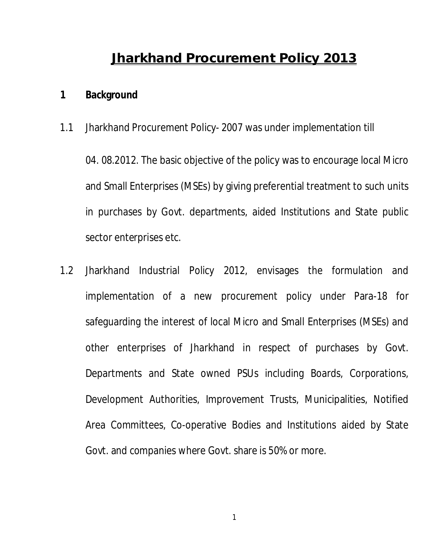## **Jharkhand Procurement Policy 2013**

## **1 Background**

1.1 Jharkhand Procurement Policy- 2007 was under implementation till

04. 08.2012. The basic objective of the policy was to encourage local Micro and Small Enterprises (MSEs) by giving preferential treatment to such units in purchases by Govt. departments, aided Institutions and State public sector enterprises etc.

1.2 Jharkhand Industrial Policy 2012, envisages the formulation and implementation of a new procurement policy under Para-18 for safeguarding the interest of local Micro and Small Enterprises (MSEs) and other enterprises of Jharkhand in respect of purchases by Govt. Departments and State owned PSUs including Boards, Corporations, Development Authorities, Improvement Trusts, Municipalities, Notified Area Committees, Co-operative Bodies and Institutions aided by State Govt. and companies where Govt. share is 50% or more.

1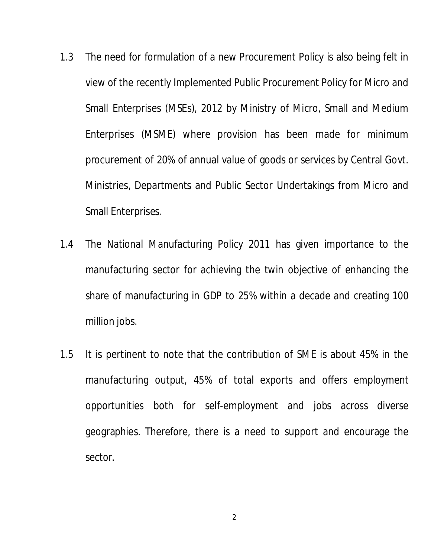- 1.3 The need for formulation of a new Procurement Policy is also being felt in view of the recently Implemented Public Procurement Policy for Micro and Small Enterprises (MSEs), 2012 by Ministry of Micro, Small and Medium Enterprises (MSME) where provision has been made for minimum procurement of 20% of annual value of goods or services by Central Govt. Ministries, Departments and Public Sector Undertakings from Micro and Small Enterprises.
- 1.4 The National Manufacturing Policy 2011 has given importance to the manufacturing sector for achieving the twin objective of enhancing the share of manufacturing in GDP to 25% within a decade and creating 100 million jobs.
- 1.5 It is pertinent to note that the contribution of SME is about 45% in the manufacturing output, 45% of total exports and offers employment opportunities both for self-employment and jobs across diverse geographies. Therefore, there is a need to support and encourage the sector.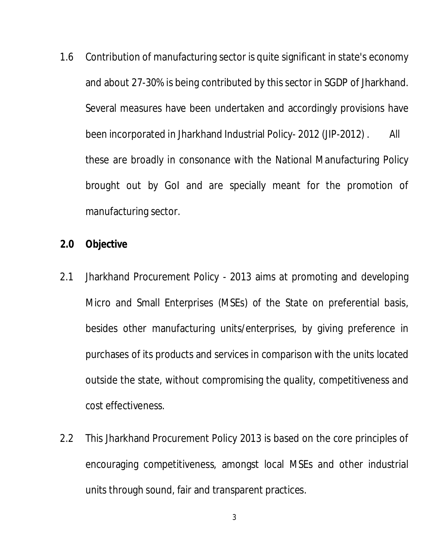1.6 Contribution of manufacturing sector is quite significant in state's economy and about 27-30% is being contributed by this sector in SGDP of Jharkhand. Several measures have been undertaken and accordingly provisions have been incorporated in Jharkhand Industrial Policy- 2012 (JIP-2012) . All these are broadly in consonance with the National Manufacturing Policy brought out by GoI and are specially meant for the promotion of manufacturing sector.

## **2.0 Objective**

- 2.1 Jharkhand Procurement Policy 2013 aims at promoting and developing Micro and Small Enterprises (MSEs) of the State on preferential basis, besides other manufacturing units/enterprises, by giving preference in purchases of its products and services in comparison with the units located outside the state, without compromising the quality, competitiveness and cost effectiveness.
- 2.2 This Jharkhand Procurement Policy 2013 is based on the core principles of encouraging competitiveness, amongst local MSEs and other industrial units through sound, fair and transparent practices.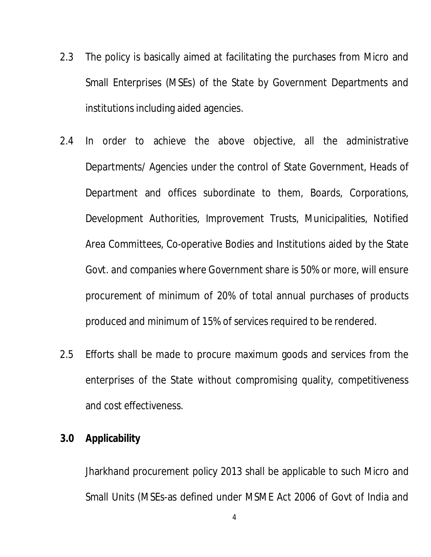- 2.3 The policy is basically aimed at facilitating the purchases from Micro and Small Enterprises (MSEs) of the State by Government Departments and institutions including aided agencies.
- 2.4 In order to achieve the above objective, all the administrative Departments/ Agencies under the control of State Government, Heads of Department and offices subordinate to them, Boards, Corporations, Development Authorities, Improvement Trusts, Municipalities, Notified Area Committees, Co-operative Bodies and Institutions aided by the State Govt. and companies where Government share is 50% or more, will ensure procurement of minimum of 20% of total annual purchases of products produced and minimum of 15% of services required to be rendered.
- 2.5 Efforts shall be made to procure maximum goods and services from the enterprises of the State without compromising quality, competitiveness and cost effectiveness.

## **3.0 Applicability**

Jharkhand procurement policy 2013 shall be applicable to such Micro and Small Units (MSEs-as defined under MSME Act 2006 of Govt of India and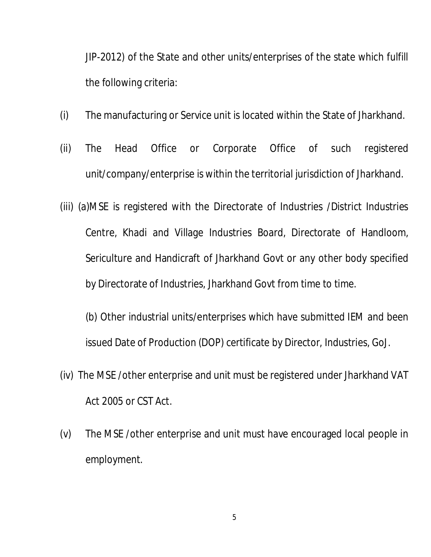JIP-2012) of the State and other units/enterprises of the state which fulfill the following criteria:

- (i) The manufacturing or Service unit is located within the State of Jharkhand.
- (ii) The Head Office or Corporate Office of such registered unit/company/enterprise is within the territorial jurisdiction of Jharkhand.
- (iii) (a)MSE is registered with the Directorate of Industries /District Industries Centre, Khadi and Village Industries Board, Directorate of Handloom, Sericulture and Handicraft of Jharkhand Govt or any other body specified by Directorate of Industries, Jharkhand Govt from time to time.
	- (b) Other industrial units/enterprises which have submitted IEM and been issued Date of Production (DOP) certificate by Director, Industries, GoJ.
- (iv) The MSE /other enterprise and unit must be registered under Jharkhand VAT Act 2005 or CST Act.
- (v) The MSE /other enterprise and unit must have encouraged local people in employment.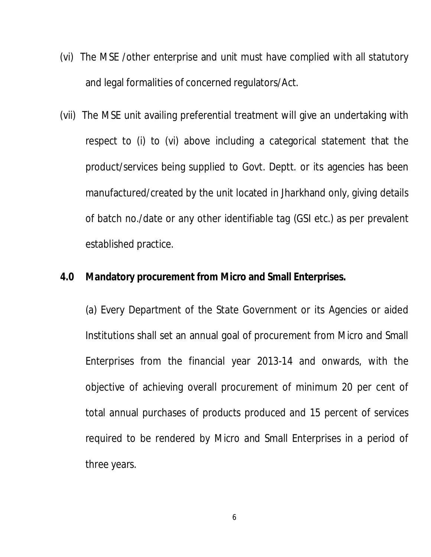- (vi) The MSE /other enterprise and unit must have complied with all statutory and legal formalities of concerned regulators/Act.
- (vii) The MSE unit availing preferential treatment will give an undertaking with respect to (i) to (vi) above including a categorical statement that the product/services being supplied to Govt. Deptt. or its agencies has been manufactured/created by the unit located in Jharkhand only, giving details of batch no./date or any other identifiable tag (GSI etc.) as per prevalent established practice.

## **4.0 Mandatory procurement from Micro and Small Enterprises.**

(a) Every Department of the State Government or its Agencies or aided Institutions shall set an annual goal of procurement from Micro and Small Enterprises from the financial year 2013-14 and onwards, with the objective of achieving overall procurement of minimum 20 per cent of total annual purchases of products produced and 15 percent of services required to be rendered by Micro and Small Enterprises in a period of three years.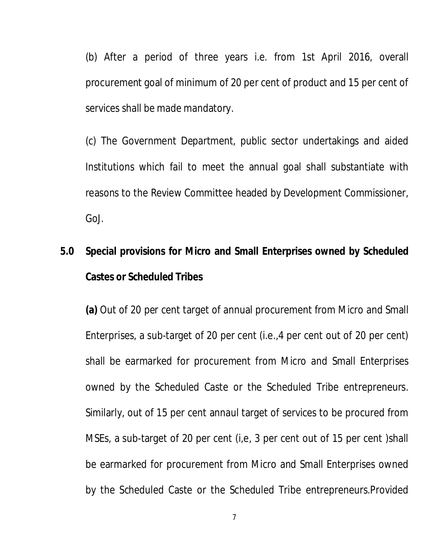(b) After a period of three years i.e. from 1st April 2016, overall procurement goal of minimum of 20 per cent of product and 15 per cent of services shall be made mandatory.

(c) The Government Department, public sector undertakings and aided Institutions which fail to meet the annual goal shall substantiate with reasons to the Review Committee headed by Development Commissioner, GoJ.

# **5.0 Special provisions for Micro and Small Enterprises owned by Scheduled Castes or Scheduled Tribes**

**(a)** Out of 20 per cent target of annual procurement from Micro and Small Enterprises, a sub-target of 20 per cent (i.e.,4 per cent out of 20 per cent) shall be earmarked for procurement from Micro and Small Enterprises owned by the Scheduled Caste or the Scheduled Tribe entrepreneurs. Similarly, out of 15 per cent annaul target of services to be procured from MSEs, a sub-target of 20 per cent (i,e, 3 per cent out of 15 per cent )shall be earmarked for procurement from Micro and Small Enterprises owned by the Scheduled Caste or the Scheduled Tribe entrepreneurs.Provided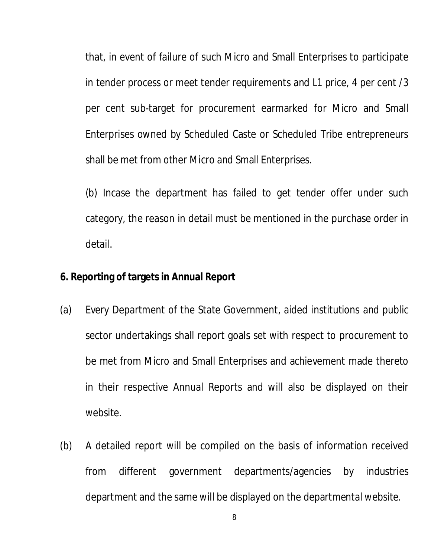that, in event of failure of such Micro and Small Enterprises to participate in tender process or meet tender requirements and L1 price, 4 per cent /3 per cent sub-target for procurement earmarked for Micro and Small Enterprises owned by Scheduled Caste or Scheduled Tribe entrepreneurs shall be met from other Micro and Small Enterprises.

(b) Incase the department has failed to get tender offer under such category, the reason in detail must be mentioned in the purchase order in detail.

## **6. Reporting of targets in Annual Report**

- (a) Every Department of the State Government, aided institutions and public sector undertakings shall report goals set with respect to procurement to be met from Micro and Small Enterprises and achievement made thereto in their respective Annual Reports and will also be displayed on their website.
- (b) A detailed report will be compiled on the basis of information received from different government departments/agencies by industries department and the same will be displayed on the departmental website.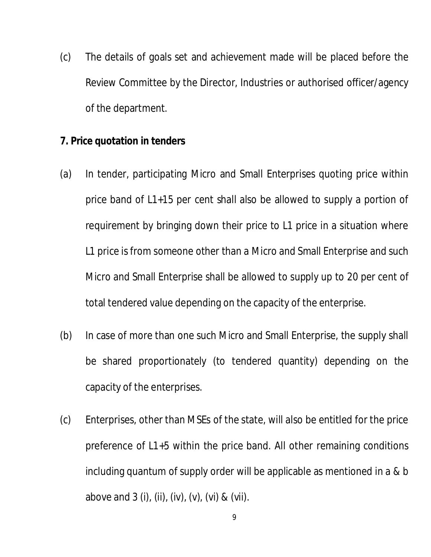(c) The details of goals set and achievement made will be placed before the Review Committee by the Director, Industries or authorised officer/agency of the department.

## **7. Price quotation in tenders**

- (a) In tender, participating Micro and Small Enterprises quoting price within price band of L1+15 per cent shall also be allowed to supply a portion of requirement by bringing down their price to L1 price in a situation where L1 price is from someone other than a Micro and Small Enterprise and such Micro and Small Enterprise shall be allowed to supply up to 20 per cent of total tendered value depending on the capacity of the enterprise.
- (b) In case of more than one such Micro and Small Enterprise, the supply shall be shared proportionately (to tendered quantity) depending on the capacity of the enterprises.
- (c) Enterprises, other than MSEs of the state, will also be entitled for the price preference of L1+5 within the price band. All other remaining conditions including quantum of supply order will be applicable as mentioned in a & b above and 3 (i), (ii), (iv), (v), (vi) & (vii).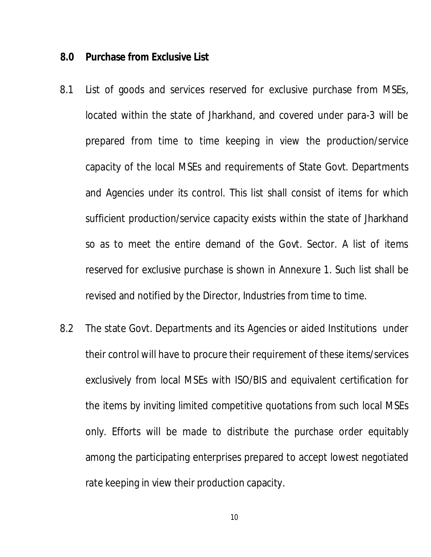#### **8.0 Purchase from Exclusive List**

- 8.1 List of goods and services reserved for exclusive purchase from MSEs, located within the state of Jharkhand, and covered under para-3 will be prepared from time to time keeping in view the production/service capacity of the local MSEs and requirements of State Govt. Departments and Agencies under its control. This list shall consist of items for which sufficient production/service capacity exists within the state of Jharkhand so as to meet the entire demand of the Govt. Sector. A list of items reserved for exclusive purchase is shown in Annexure 1. Such list shall be revised and notified by the Director, Industries from time to time.
- 8.2 The state Govt. Departments and its Agencies or aided Institutions under their control will have to procure their requirement of these items/services exclusively from local MSEs with ISO/BIS and equivalent certification for the items by inviting limited competitive quotations from such local MSEs only. Efforts will be made to distribute the purchase order equitably among the participating enterprises prepared to accept lowest negotiated rate keeping in view their production capacity.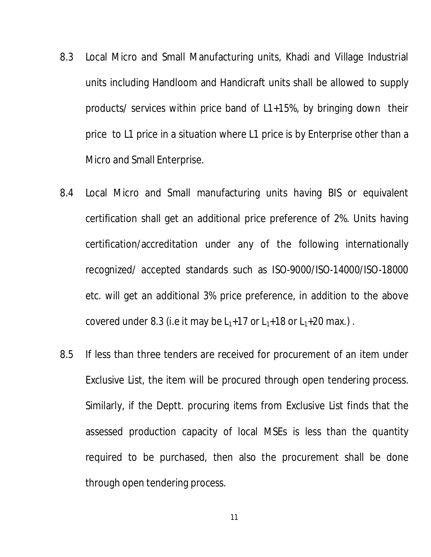- 8.3 Local Micro and Small Manufacturing units, Khadi and Village Industrial units including Handloom and Handicraft units shall be allowed to supply products/ services within price band of L1+15%, by bringing down their price to L1 price in a situation where L1 price is by Enterprise other than a Micro and Small Enterprise.
- 8.4 Local Micro and Small manufacturing units having BIS or equivalent certification shall get an additional price preference of 2%. Units having certification/accreditation under any of the following internationally recognized/ accepted standards such as ISO-9000/ISO-14000/ISO-18000 etc. will get an additional 3% price preference, in addition to the above covered under 8.3 (i.e it may be  $L_1+17$  or  $L_1+18$  or  $L_1+20$  max.).
- 8.5 If less than three tenders are received for procurement of an item under Exclusive List, the item will be procured through open tendering process. Similarly, if the Deptt. procuring items from Exclusive List finds that the assessed production capacity of local MSEs is less than the quantity required to be purchased, then also the procurement shall be done through open tendering process.

11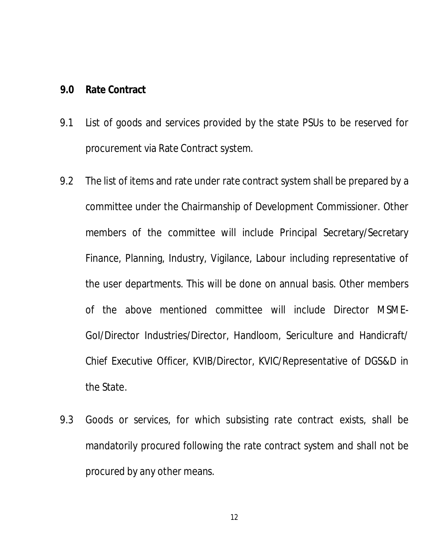## **9.0 Rate Contract**

- 9.1 List of goods and services provided by the state PSUs to be reserved for procurement via Rate Contract system.
- 9.2 The list of items and rate under rate contract system shall be prepared by a committee under the Chairmanship of Development Commissioner. Other members of the committee will include Principal Secretary/Secretary Finance, Planning, Industry, Vigilance, Labour including representative of the user departments. This will be done on annual basis. Other members of the above mentioned committee will include Director MSME-GoI/Director Industries/Director, Handloom, Sericulture and Handicraft/ Chief Executive Officer, KVIB/Director, KVIC/Representative of DGS&D in the State.
- 9.3 Goods or services, for which subsisting rate contract exists, shall be mandatorily procured following the rate contract system and shall not be procured by any other means.

12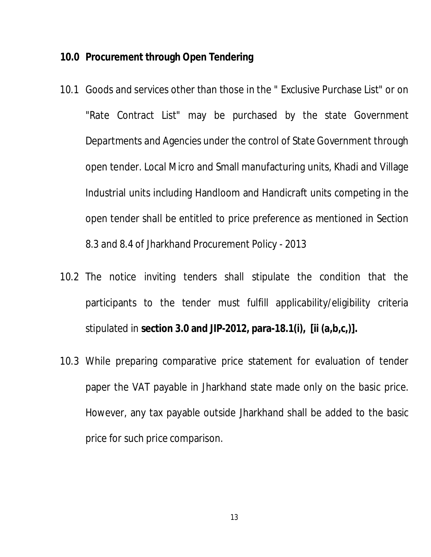## **10.0 Procurement through Open Tendering**

- 10.1 Goods and services other than those in the " Exclusive Purchase List" or on "Rate Contract List" may be purchased by the state Government Departments and Agencies under the control of State Government through open tender. Local Micro and Small manufacturing units, Khadi and Village Industrial units including Handloom and Handicraft units competing in the open tender shall be entitled to price preference as mentioned in Section 8.3 and 8.4 of Jharkhand Procurement Policy - 2013
- 10.2 The notice inviting tenders shall stipulate the condition that the participants to the tender must fulfill applicability/eligibility criteria stipulated in **section 3.0 and JIP-2012, para-18.1(i), [ii (a,b,c,)].**
- 10.3 While preparing comparative price statement for evaluation of tender paper the VAT payable in Jharkhand state made only on the basic price. However, any tax payable outside Jharkhand shall be added to the basic price for such price comparison.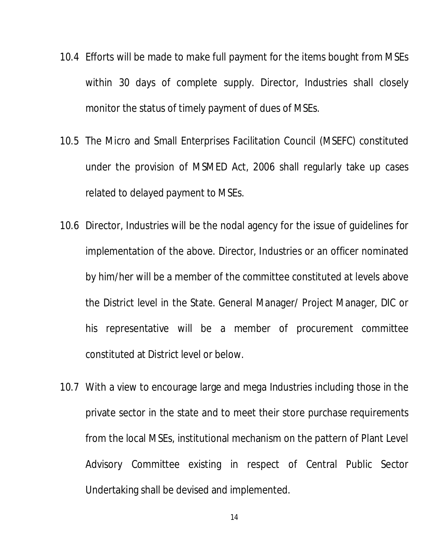- 10.4 Efforts will be made to make full payment for the items bought from MSEs within 30 days of complete supply. Director, Industries shall closely monitor the status of timely payment of dues of MSEs.
- 10.5 The Micro and Small Enterprises Facilitation Council (MSEFC) constituted under the provision of MSMED Act, 2006 shall regularly take up cases related to delayed payment to MSEs.
- 10.6 Director, Industries will be the nodal agency for the issue of guidelines for implementation of the above. Director, Industries or an officer nominated by him/her will be a member of the committee constituted at levels above the District level in the State. General Manager/ Project Manager, DIC or his representative will be a member of procurement committee constituted at District level or below.
- 10.7 With a view to encourage large and mega Industries including those in the private sector in the state and to meet their store purchase requirements from the local MSEs, institutional mechanism on the pattern of Plant Level Advisory Committee existing in respect of Central Public Sector Undertaking shall be devised and implemented.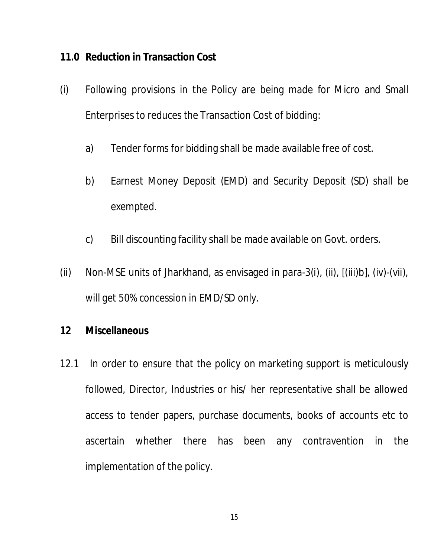## **11.0 Reduction in Transaction Cost**

- (i) Following provisions in the Policy are being made for Micro and Small Enterprises to reduces the Transaction Cost of bidding:
	- a) Tender forms for bidding shall be made available free of cost.
	- b) Earnest Money Deposit (EMD) and Security Deposit (SD) shall be exempted.
	- c) Bill discounting facility shall be made available on Govt. orders.
- (ii) Non-MSE units of Jharkhand, as envisaged in para-3(i), (ii), [(iii)b], (iv)-(vii), will get 50% concession in EMD/SD only.

## **12 Miscellaneous**

12.1 In order to ensure that the policy on marketing support is meticulously followed, Director, Industries or his/ her representative shall be allowed access to tender papers, purchase documents, books of accounts etc to ascertain whether there has been any contravention in the implementation of the policy.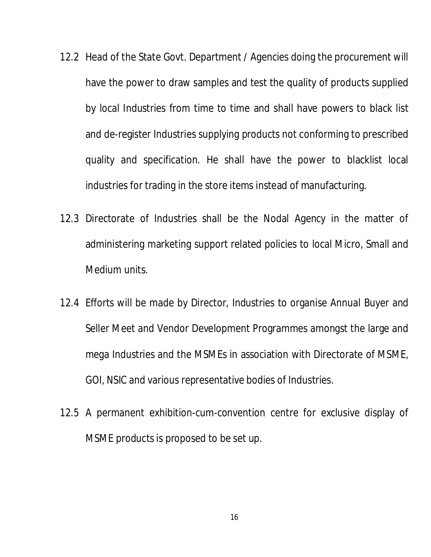- 12.2 Head of the State Govt. Department / Agencies doing the procurement will have the power to draw samples and test the quality of products supplied by local Industries from time to time and shall have powers to black list and de-register Industries supplying products not conforming to prescribed quality and specification. He shall have the power to blacklist local industries for trading in the store items instead of manufacturing.
- 12.3 Directorate of Industries shall be the Nodal Agency in the matter of administering marketing support related policies to local Micro, Small and Medium units.
- 12.4 Efforts will be made by Director, Industries to organise Annual Buyer and Seller Meet and Vendor Development Programmes amongst the large and mega Industries and the MSMEs in association with Directorate of MSME, GOI, NSIC and various representative bodies of Industries.
- 12.5 A permanent exhibition-cum-convention centre for exclusive display of MSME products is proposed to be set up.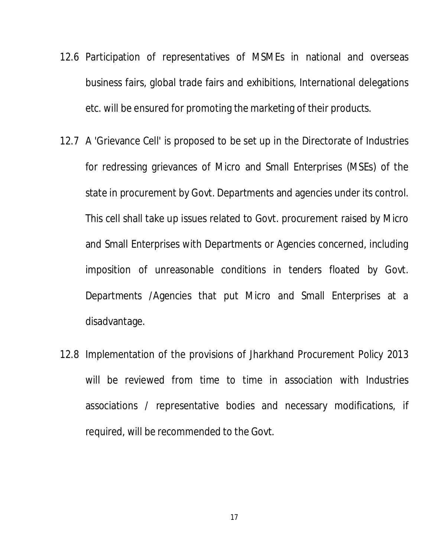- 12.6 Participation of representatives of MSMEs in national and overseas business fairs, global trade fairs and exhibitions, International delegations etc. will be ensured for promoting the marketing of their products.
- 12.7 A 'Grievance Cell' is proposed to be set up in the Directorate of Industries for redressing grievances of Micro and Small Enterprises (MSEs) of the state in procurement by Govt. Departments and agencies under its control. This cell shall take up issues related to Govt. procurement raised by Micro and Small Enterprises with Departments or Agencies concerned, including imposition of unreasonable conditions in tenders floated by Govt. Departments /Agencies that put Micro and Small Enterprises at a disadvantage.
- 12.8 Implementation of the provisions of Jharkhand Procurement Policy 2013 will be reviewed from time to time in association with Industries associations / representative bodies and necessary modifications, if required, will be recommended to the Govt.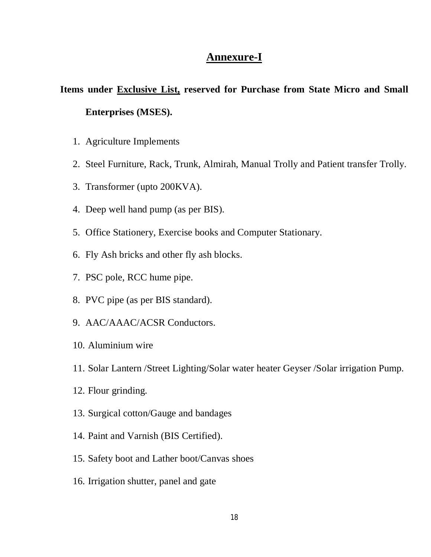### **Annexure-I**

## **Items under Exclusive List, reserved for Purchase from State Micro and Small Enterprises (MSES).**

- 1. Agriculture Implements
- 2. Steel Furniture, Rack, Trunk, Almirah, Manual Trolly and Patient transfer Trolly.
- 3. Transformer (upto 200KVA).
- 4. Deep well hand pump (as per BIS).
- 5. Office Stationery, Exercise books and Computer Stationary.
- 6. Fly Ash bricks and other fly ash blocks.
- 7. PSC pole, RCC hume pipe.
- 8. PVC pipe (as per BIS standard).
- 9. AAC/AAAC/ACSR Conductors.
- 10. Aluminium wire
- 11. Solar Lantern /Street Lighting/Solar water heater Geyser /Solar irrigation Pump.
- 12. Flour grinding.
- 13. Surgical cotton/Gauge and bandages
- 14. Paint and Varnish (BIS Certified).
- 15. Safety boot and Lather boot/Canvas shoes
- 16. Irrigation shutter, panel and gate